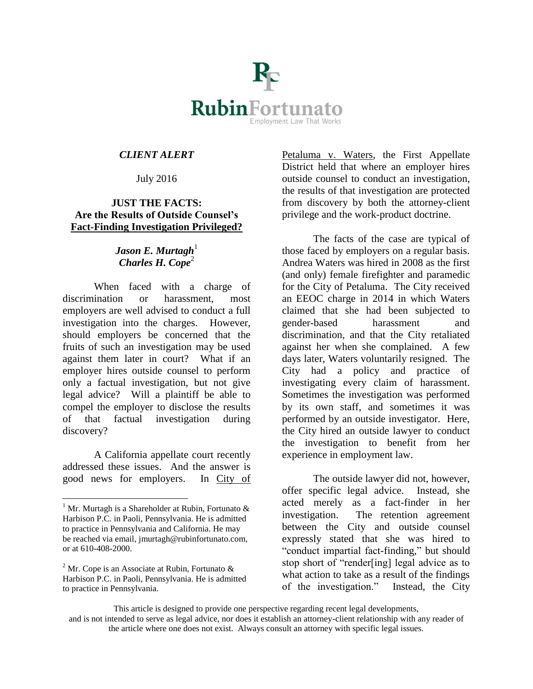

## *CLIENT ALERT*

## July 2016

## **JUST THE FACTS: Are the Results of Outside Counsel's Fact-Finding Investigation Privileged?**

## *Jason E. Murtagh*<sup>1</sup> *Charles H. Cope*<sup>2</sup>

When faced with a charge of discrimination or harassment, most employers are well advised to conduct a full investigation into the charges. However, should employers be concerned that the fruits of such an investigation may be used against them later in court? What if an employer hires outside counsel to perform only a factual investigation, but not give legal advice? Will a plaintiff be able to compel the employer to disclose the results of that factual investigation during discovery?

A California appellate court recently addressed these issues. And the answer is good news for employers. In City of

 $\overline{a}$ 

Petaluma v. Waters, the First Appellate District held that where an employer hires outside counsel to conduct an investigation, the results of that investigation are protected from discovery by both the attorney-client privilege and the work-product doctrine.

The facts of the case are typical of those faced by employers on a regular basis. Andrea Waters was hired in 2008 as the first (and only) female firefighter and paramedic for the City of Petaluma. The City received an EEOC charge in 2014 in which Waters claimed that she had been subjected to gender-based harassment and discrimination, and that the City retaliated against her when she complained. A few days later, Waters voluntarily resigned. The City had a policy and practice of investigating every claim of harassment. Sometimes the investigation was performed by its own staff, and sometimes it was performed by an outside investigator. Here, the City hired an outside lawyer to conduct the investigation to benefit from her experience in employment law.

The outside lawyer did not, however, offer specific legal advice. Instead, she acted merely as a fact-finder in her investigation. The retention agreement between the City and outside counsel expressly stated that she was hired to "conduct impartial fact-finding," but should stop short of "render[ing] legal advice as to what action to take as a result of the findings of the investigation." Instead, the City

This article is designed to provide one perspective regarding recent legal developments,

<sup>&</sup>lt;sup>1</sup> Mr. Murtagh is a Shareholder at Rubin, Fortunato  $\&$ Harbison P.C. in Paoli, Pennsylvania. He is admitted to practice in Pennsylvania and California. He may be reached via email, jmurtagh@rubinfortunato.com, or at 610-408-2000.

<sup>&</sup>lt;sup>2</sup> Mr. Cope is an Associate at Rubin, Fortunato  $\&$ Harbison P.C. in Paoli, Pennsylvania. He is admitted to practice in Pennsylvania.

and is not intended to serve as legal advice, nor does it establish an attorney-client relationship with any reader of the article where one does not exist. Always consult an attorney with specific legal issues.